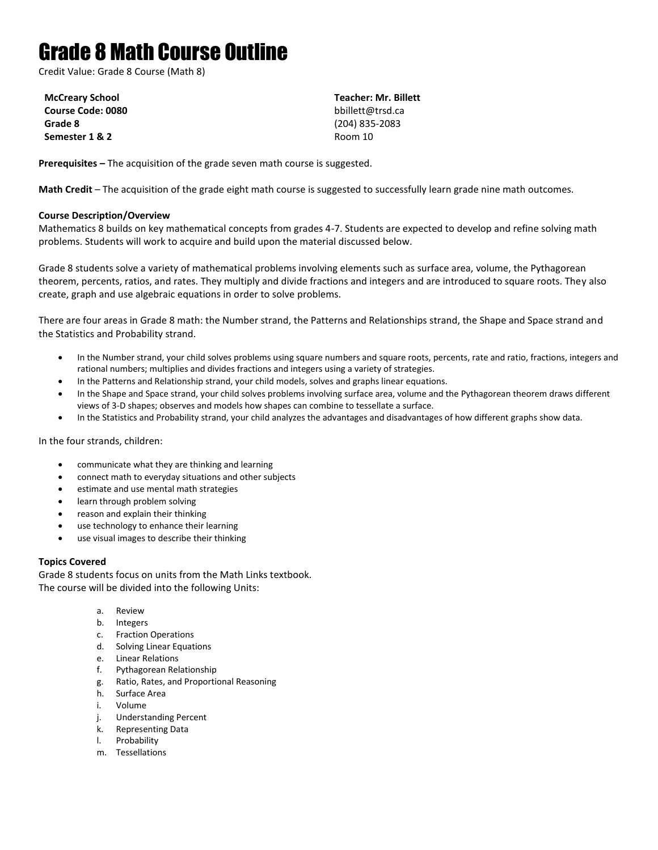# Grade 8 Math Course Outline

Credit Value: Grade 8 Course (Math 8)

**McCreary School Course Code: 0080 Grade 8 Semester 1 & 2**

**Teacher: Mr. Billett** bbillett@trsd.ca (204) 835-2083 Room 10

**Prerequisites –** The acquisition of the grade seven math course is suggested.

**Math Credit** – The acquisition of the grade eight math course is suggested to successfully learn grade nine math outcomes.

# **Course Description/Overview**

Mathematics 8 builds on key mathematical concepts from grades 4-7. Students are expected to develop and refine solving math problems. Students will work to acquire and build upon the material discussed below.

Grade 8 students solve a variety of mathematical problems involving elements such as surface area, volume, the Pythagorean theorem, percents, ratios, and rates. They multiply and divide fractions and integers and are introduced to square roots. They also create, graph and use algebraic equations in order to solve problems.

There are four areas in Grade 8 math: the Number strand, the Patterns and Relationships strand, the Shape and Space strand and the Statistics and Probability strand.

- In the Number strand, your child solves problems using square numbers and square roots, percents, rate and ratio, fractions, integers and rational numbers; multiplies and divides fractions and integers using a variety of strategies.
- In the Patterns and Relationship strand, your child models, solves and graphs linear equations.
- In the Shape and Space strand, your child solves problems involving surface area, volume and the Pythagorean theorem draws different views of 3-D shapes; observes and models how shapes can combine to tessellate a surface.
- In the Statistics and Probability strand, your child analyzes the advantages and disadvantages of how different graphs show data.

In the four strands, children:

- communicate what they are thinking and learning
- connect math to everyday situations and other subjects
- estimate and use mental math strategies
- learn through problem solving
- reason and explain their thinking
- use technology to enhance their learning
- use visual images to describe their thinking

## **Topics Covered**

Grade 8 students focus on units from the Math Links textbook. The course will be divided into the following Units:

- a. Review
- b. Integers
- c. Fraction Operations
- d. Solving Linear Equations
- e. Linear Relations
- f. Pythagorean Relationship
- g. Ratio, Rates, and Proportional Reasoning
- h. Surface Area
- i. Volume
- j. Understanding Percent
- k. Representing Data
- l. Probability
- m. Tessellations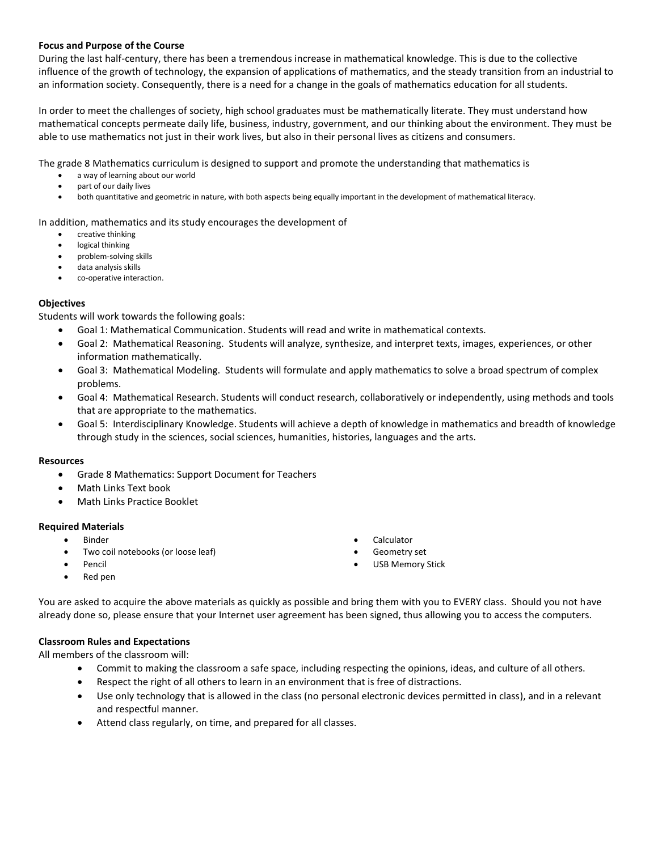#### **Focus and Purpose of the Course**

During the last half-century, there has been a tremendous increase in mathematical knowledge. This is due to the collective influence of the growth of technology, the expansion of applications of mathematics, and the steady transition from an industrial to an information society. Consequently, there is a need for a change in the goals of mathematics education for all students.

In order to meet the challenges of society, high school graduates must be mathematically literate. They must understand how mathematical concepts permeate daily life, business, industry, government, and our thinking about the environment. They must be able to use mathematics not just in their work lives, but also in their personal lives as citizens and consumers.

The grade 8 Mathematics curriculum is designed to support and promote the understanding that mathematics is

- a way of learning about our world
- part of our daily lives
- both quantitative and geometric in nature, with both aspects being equally important in the development of mathematical literacy.

In addition, mathematics and its study encourages the development of

- creative thinking
- logical thinking
- problem-solving skills
- data analysis skills
- co-operative interaction.

#### **Objectives**

Students will work towards the following goals:

- Goal 1: Mathematical Communication. Students will read and write in mathematical contexts.
- Goal 2: Mathematical Reasoning. Students will analyze, synthesize, and interpret texts, images, experiences, or other information mathematically.
- Goal 3: Mathematical Modeling. Students will formulate and apply mathematics to solve a broad spectrum of complex problems.
- Goal 4: Mathematical Research. Students will conduct research, collaboratively or independently, using methods and tools that are appropriate to the mathematics.
- Goal 5: Interdisciplinary Knowledge. Students will achieve a depth of knowledge in mathematics and breadth of knowledge through study in the sciences, social sciences, humanities, histories, languages and the arts.

#### **Resources**

- Grade 8 Mathematics: Support Document for Teachers
- Math Links Text book
- Math Links Practice Booklet

#### **Required Materials**

- Binder
- Two coil notebooks (or loose leaf)
- Pencil
- Calculator
- Geometry set
- USB Memory Stick

• Red pen

You are asked to acquire the above materials as quickly as possible and bring them with you to EVERY class. Should you not have already done so, please ensure that your Internet user agreement has been signed, thus allowing you to access the computers.

## **Classroom Rules and Expectations**

All members of the classroom will:

- Commit to making the classroom a safe space, including respecting the opinions, ideas, and culture of all others.
- Respect the right of all others to learn in an environment that is free of distractions.
- Use only technology that is allowed in the class (no personal electronic devices permitted in class), and in a relevant and respectful manner.
- Attend class regularly, on time, and prepared for all classes.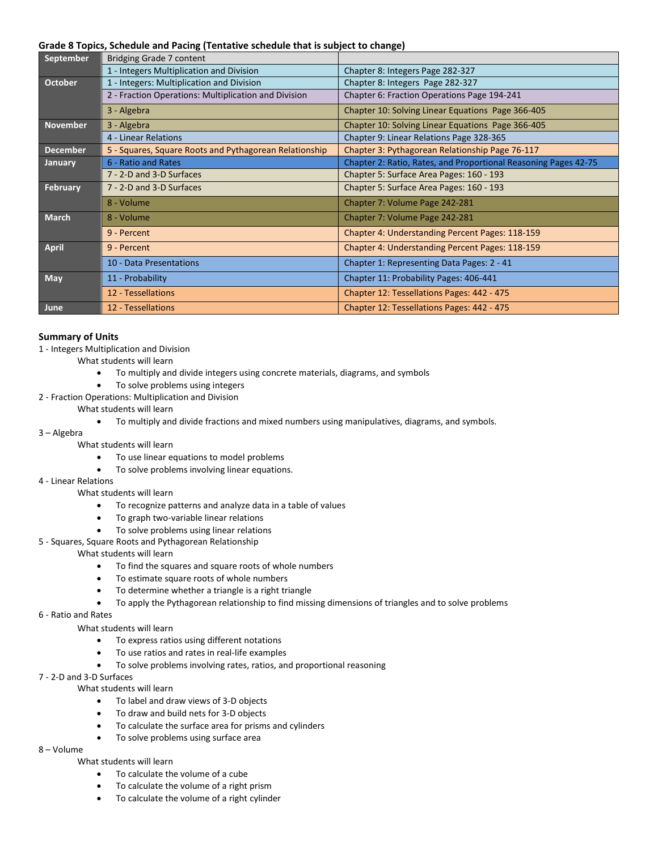#### **Grade 8 Topics, Schedule and Pacing (Tentative schedule that is subject to change)**

| September       | Bridging Grade 7 content                               |                                                                 |
|-----------------|--------------------------------------------------------|-----------------------------------------------------------------|
|                 | 1 - Integers Multiplication and Division               | Chapter 8: Integers Page 282-327                                |
| October         | 1 - Integers: Multiplication and Division              | Chapter 8: Integers Page 282-327                                |
|                 | 2 - Fraction Operations: Multiplication and Division   | Chapter 6: Fraction Operations Page 194-241                     |
|                 | 3 - Algebra                                            | Chapter 10: Solving Linear Equations Page 366-405               |
| <b>November</b> | 3 - Algebra                                            | Chapter 10: Solving Linear Equations Page 366-405               |
|                 | 4 - Linear Relations                                   | Chapter 9: Linear Relations Page 328-365                        |
| <b>December</b> | 5 - Squares, Square Roots and Pythagorean Relationship | Chapter 3: Pythagorean Relationship Page 76-117                 |
| January         | 6 - Ratio and Rates                                    | Chapter 2: Ratio, Rates, and Proportional Reasoning Pages 42-75 |
|                 | 7 - 2-D and 3-D Surfaces                               | Chapter 5: Surface Area Pages: 160 - 193                        |
| February        | 7 - 2-D and 3-D Surfaces                               | Chapter 5: Surface Area Pages: 160 - 193                        |
|                 | 8 - Volume                                             | Chapter 7: Volume Page 242-281                                  |
| <b>March</b>    | 8 - Volume                                             | Chapter 7: Volume Page 242-281                                  |
|                 | 9 - Percent                                            | Chapter 4: Understanding Percent Pages: 118-159                 |
| <b>April</b>    | 9 - Percent                                            | Chapter 4: Understanding Percent Pages: 118-159                 |
|                 | 10 - Data Presentations                                | Chapter 1: Representing Data Pages: 2 - 41                      |
| May             | 11 - Probability                                       | Chapter 11: Probability Pages: 406-441                          |
|                 | 12 - Tessellations                                     | Chapter 12: Tessellations Pages: 442 - 475                      |
| June            | 12 - Tessellations                                     | Chapter 12: Tessellations Pages: 442 - 475                      |

#### **Summary of Units**

- 1 Integers Multiplication and Division
	- What students will learn
		- To multiply and divide integers using concrete materials, diagrams, and symbols
		- To solve problems using integers
- 2 Fraction Operations: Multiplication and Division
	- What students will learn
		- To multiply and divide fractions and mixed numbers using manipulatives, diagrams, and symbols.

#### 3 – Algebra

- What students will learn
	- To use linear equations to model problems
	- To solve problems involving linear equations.

#### 4 - Linear Relations

- What students will learn
	- To recognize patterns and analyze data in a table of values
	- To graph two-variable linear relations
	- To solve problems using linear relations
- 5 Squares, Square Roots and Pythagorean Relationship

#### What students will learn

- To find the squares and square roots of whole numbers
- To estimate square roots of whole numbers
- To determine whether a triangle is a right triangle
- To apply the Pythagorean relationship to find missing dimensions of triangles and to solve problems

## 6 - Ratio and Rates

What students will learn

- To express ratios using different notations
- To use ratios and rates in real-life examples
- To solve problems involving rates, ratios, and proportional reasoning

# 7 - 2-D and 3-D Surfaces

What students will learn

- To label and draw views of 3-D objects
- To draw and build nets for 3-D objects
- To calculate the surface area for prisms and cylinders
- To solve problems using surface area

# 8 – Volume

## What students will learn

- To calculate the volume of a cube
- To calculate the volume of a right prism
- To calculate the volume of a right cylinder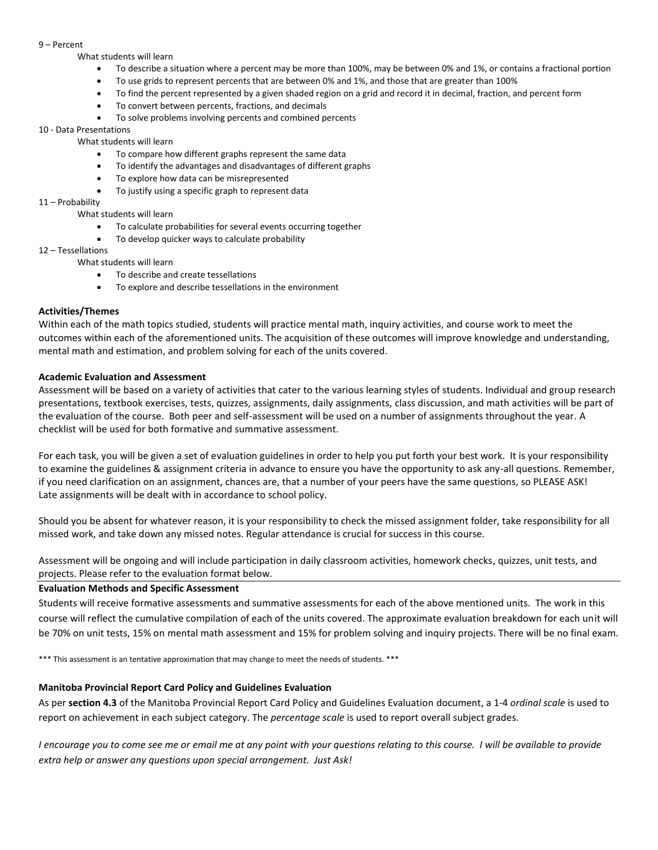#### 9 – Percent

#### What students will learn

- To describe a situation where a percent may be more than 100%, may be between 0% and 1%, or contains a fractional portion
- To use grids to represent percents that are between 0% and 1%, and those that are greater than 100%
- To find the percent represented by a given shaded region on a grid and record it in decimal, fraction, and percent form
- To convert between percents, fractions, and decimals
- To solve problems involving percents and combined percents

#### 10 - Data Presentations

#### What students will learn

- To compare how different graphs represent the same data
- To identify the advantages and disadvantages of different graphs
- To explore how data can be misrepresented
- To justify using a specific graph to represent data

#### 11 – Probability

#### What students will learn

- To calculate probabilities for several events occurring together
- To develop quicker ways to calculate probability

#### 12 – Tessellations

#### What students will learn

- To describe and create tessellations
- To explore and describe tessellations in the environment

## **Activities/Themes**

Within each of the math topics studied, students will practice mental math, inquiry activities, and course work to meet the outcomes within each of the aforementioned units. The acquisition of these outcomes will improve knowledge and understanding, mental math and estimation, and problem solving for each of the units covered.

#### **Academic Evaluation and Assessment**

Assessment will be based on a variety of activities that cater to the various learning styles of students. Individual and group research presentations, textbook exercises, tests, quizzes, assignments, daily assignments, class discussion, and math activities will be part of the evaluation of the course. Both peer and self-assessment will be used on a number of assignments throughout the year. A checklist will be used for both formative and summative assessment.

For each task, you will be given a set of evaluation guidelines in order to help you put forth your best work. It is your responsibility to examine the guidelines & assignment criteria in advance to ensure you have the opportunity to ask any-all questions. Remember, if you need clarification on an assignment, chances are, that a number of your peers have the same questions, so PLEASE ASK! Late assignments will be dealt with in accordance to school policy.

Should you be absent for whatever reason, it is your responsibility to check the missed assignment folder, take responsibility for all missed work, and take down any missed notes. Regular attendance is crucial for success in this course.

Assessment will be ongoing and will include participation in daily classroom activities, homework checks, quizzes, unit tests, and projects. Please refer to the evaluation format below.

## **Evaluation Methods and Specific Assessment**

Students will receive formative assessments and summative assessments for each of the above mentioned units. The work in this course will reflect the cumulative compilation of each of the units covered. The approximate evaluation breakdown for each unit will be 70% on unit tests, 15% on mental math assessment and 15% for problem solving and inquiry projects. There will be no final exam.

\*\*\* This assessment is an tentative approximation that may change to meet the needs of students. \*\*\*

## **Manitoba Provincial Report Card Policy and Guidelines Evaluation**

As per **section 4.3** of the Manitoba Provincial Report Card Policy and Guidelines Evaluation document, a 1-4 *ordinal scale* is used to report on achievement in each subject category. The *percentage scale* is used to report overall subject grades.

*I encourage you to come see me or email me at any point with your questions relating to this course. I will be available to provide extra help or answer any questions upon special arrangement. Just Ask!*